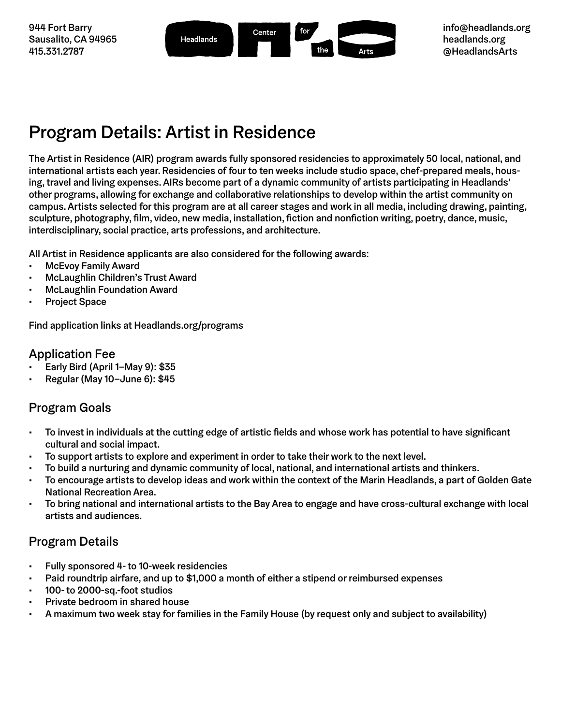



### Program Details: Artist in Residence

The Artist in Residence (AIR) program awards fully sponsored residencies to approximately 50 local, national, and international artists each year. Residencies of four to ten weeks include studio space, chef-prepared meals, housing, travel and living expenses. AIRs become part of a dynamic community of artists participating in Headlands' other programs, allowing for exchange and collaborative relationships to develop within the artist community on campus. Artists selected for this program are at all career stages and work in all media, including drawing, painting, sculpture, photography, film, video, new media, installation, fiction and nonfiction writing, poetry, dance, music, interdisciplinary, social practice, arts professions, and architecture.

All Artist in Residence applicants are also considered for the following awards:

- McEvoy Family Award
- McLaughlin Children's Trust Award
- McLaughlin Foundation Award
- Project Space

Find application links at [Headlands.org/programs](http://www.Headlands.org/programs)

#### Application Fee

- Early Bird (April 1–May 9): \$35
- Regular (May 10–June 6): \$45

#### Program Goals

- To invest in individuals at the cutting edge of artistic fields and whose work has potential to have significant cultural and social impact.
- To support artists to explore and experiment in order to take their work to the next level.
- To build a nurturing and dynamic community of local, national, and international artists and thinkers.
- To encourage artists to develop ideas and work within the context of the Marin Headlands, a part of Golden Gate National Recreation Area.
- To bring national and international artists to the Bay Area to engage and have cross-cultural exchange with local artists and audiences.

#### Program Details

- Fully sponsored 4- to 10-week residencies
- Paid roundtrip airfare, and up to \$1,000 a month of either a stipend or reimbursed expenses
- 100- to 2000-sq.-foot studios
- Private bedroom in shared house
- A maximum two week stay for families in the Family House (by request only and subject to availability)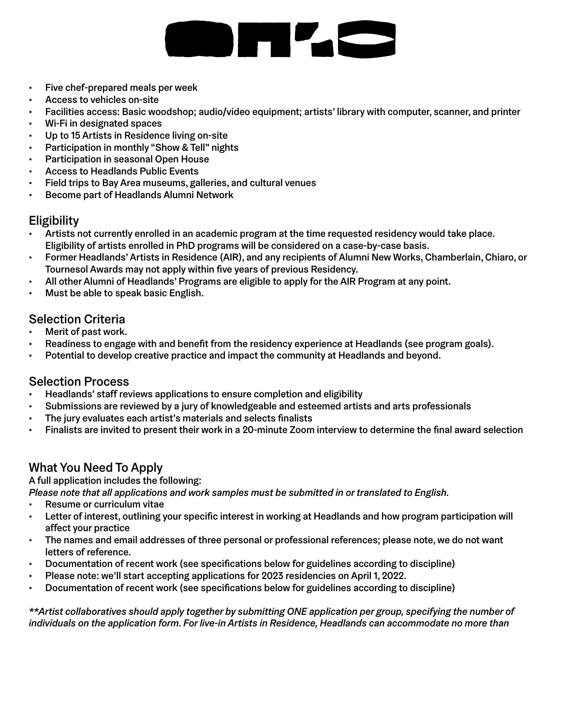# **STATISTICS**

- Five chef-prepared meals per week
- Access to vehicles on-site
- Facilities access: Basic woodshop; audio/video equipment; artists' library with computer, scanner, and printer
- Wi-Fi in designated spaces
- Up to 15 Artists in Residence living on-site
- Participation in monthly "Show & Tell" nights
- Participation in seasonal Open House
- Access to Headlands Public Events
- Field trips to Bay Area museums, galleries, and cultural venues
- Become part of Headlands Alumni Network

#### **Eligibility**

- Artists not currently enrolled in an academic program at the time requested residency would take place. Eligibility of artists enrolled in PhD programs will be considered on a case-by-case basis.
- Former Headlands' Artists in Residence (AIR), and any recipients of Alumni New Works, Chamberlain, Chiaro, or Tournesol Awards may not apply within five years of previous Residency.
- All other Alumni of Headlands' Programs are eligible to apply for the AIR Program at any point.
- Must be able to speak basic English.

#### Selection Criteria

- Merit of past work.
- Readiness to engage with and benefit from the residency experience at Headlands (see program goals).
- Potential to develop creative practice and impact the community at Headlands and beyond.

#### Selection Process

- Headlands' staff reviews applications to ensure completion and eligibility
- Submissions are reviewed by a jury of knowledgeable and esteemed artists and arts professionals
- The jury evaluates each artist's materials and selects finalists
- Finalists are invited to present their work in a 20-minute Zoom interview to determine the final award selection

#### What You Need To Apply

A full application includes the following:

*Please note that all applications and work samples must be submitted in or translated to English.*

- Resume or curriculum vitae
- Letter of interest, outlining your specific interest in working at Headlands and how program participation will affect your practice
- The names and email addresses of three personal or professional references; please note, we do not want letters of reference.
- Documentation of recent work (see specifications below for guidelines according to discipline)
- Please note: we'll start accepting applications for 2023 residencies on April 1, 2022.
- Documentation of recent work (see specifications below for guidelines according to discipline)

*\*\*Artist collaboratives should apply together by submitting ONE application per group, specifying the number of individuals on the application form. For live-in Artists in Residence, Headlands can accommodate no more than*